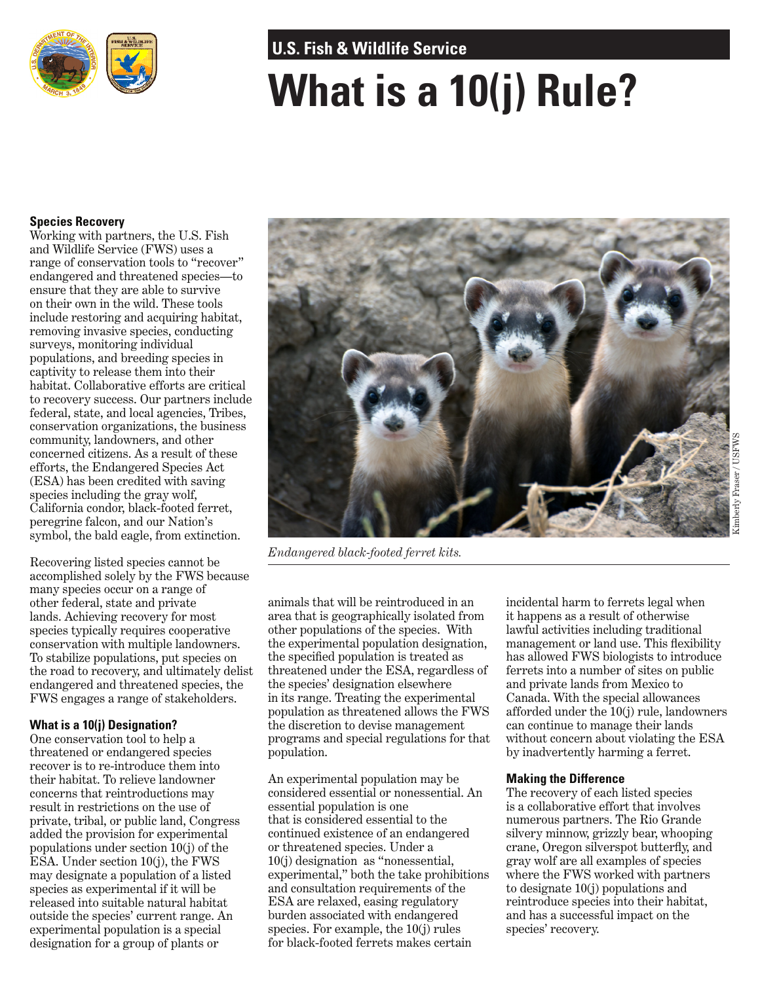

# **U.S. Fish & Wildlife Service**

# **What is a 10(j) Rule?**

## **Species Recovery**

Working with partners, the U.S. Fish and Wildlife Service (FWS) uses a range of conservation tools to "recover" endangered and threatened species—to ensure that they are able to survive on their own in the wild. These tools include restoring and acquiring habitat, removing invasive species, conducting surveys, monitoring individual populations, and breeding species in captivity to release them into their habitat. Collaborative efforts are critical to recovery success. Our partners include federal, state, and local agencies, Tribes, conservation organizations, the business community, landowners, and other concerned citizens. As a result of these efforts, the Endangered Species Act (ESA) has been credited with saving species including the gray wolf, California condor, black-footed ferret, peregrine falcon, and our Nation's symbol, the bald eagle, from extinction.

Recovering listed species cannot be accomplished solely by the FWS because many species occur on a range of other federal, state and private lands. Achieving recovery for most species typically requires cooperative conservation with multiple landowners. To stabilize populations, put species on the road to recovery, and ultimately delist endangered and threatened species, the FWS engages a range of stakeholders.

## **What is a 10(j) Designation?**

One conservation tool to help a threatened or endangered species recover is to re-introduce them into their habitat. To relieve landowner concerns that reintroductions may result in restrictions on the use of private, tribal, or public land, Congress added the provision for experimental populations under section 10(j) of the ESA. Under section 10(j), the FWS may designate a population of a listed species as experimental if it will be released into suitable natural habitat outside the species' current range. An experimental population is a special designation for a group of plants or



*Endangered black-footed ferret kits.*

animals that will be reintroduced in an area that is geographically isolated from other populations of the species. With the experimental population designation, the specified population is treated as threatened under the ESA, regardless of the species' designation elsewhere in its range. Treating the experimental population as threatened allows the FWS the discretion to devise management programs and special regulations for that population.

An experimental population may be considered essential or nonessential. An essential population is one that is considered essential to the continued existence of an endangered or threatened species. Under a 10(j) designation as "nonessential, experimental," both the take prohibitions and consultation requirements of the ESA are relaxed, easing regulatory burden associated with endangered species. For example, the 10(j) rules for black-footed ferrets makes certain

incidental harm to ferrets legal when it happens as a result of otherwise lawful activities including traditional management or land use. This flexibility has allowed FWS biologists to introduce ferrets into a number of sites on public and private lands from Mexico to Canada. With the special allowances afforded under the 10(j) rule, landowners can continue to manage their lands without concern about violating the ESA by inadvertently harming a ferret.

#### **Making the Difference**

The recovery of each listed species is a collaborative effort that involves numerous partners. The Rio Grande silvery minnow, grizzly bear, whooping crane, Oregon silverspot butterfly, and gray wolf are all examples of species where the FWS worked with partners to designate 10(j) populations and reintroduce species into their habitat, and has a successful impact on the species' recovery.